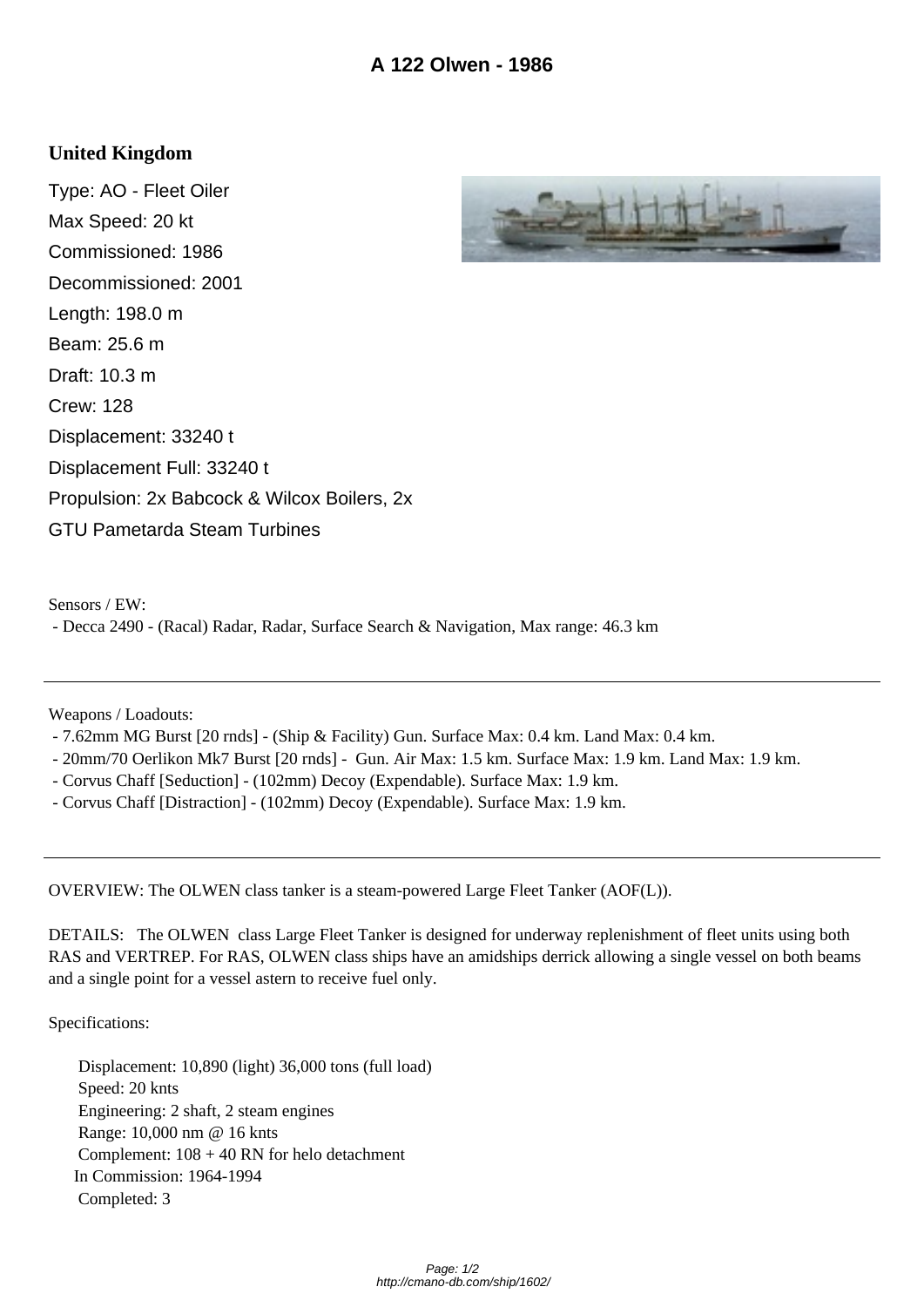## **United Kingdom**

Type: AO - Fleet Oiler Max Speed: 20 kt Commissioned: 1986 Decommissioned: 2001 Length: 198.0 m Beam: 25.6 m Draft: 10.3 m Crew: 128 Displacement: 33240 t Displacement Full: 33240 t Propulsion: 2x Babcock & Wilcox Boilers, 2x GTU Pametarda Steam Turbines



Sensors / EW:

- Decca 2490 - (Racal) Radar, Radar, Surface Search & Navigation, Max range: 46.3 km

Weapons / Loadouts:

- 7.62mm MG Burst [20 rnds] (Ship & Facility) Gun. Surface Max: 0.4 km. Land Max: 0.4 km.
- 20mm/70 Oerlikon Mk7 Burst [20 rnds] Gun. Air Max: 1.5 km. Surface Max: 1.9 km. Land Max: 1.9 km.
- Corvus Chaff [Seduction] (102mm) Decoy (Expendable). Surface Max: 1.9 km.
- Corvus Chaff [Distraction] (102mm) Decoy (Expendable). Surface Max: 1.9 km.

OVERVIEW: The OLWEN class tanker is a steam-powered Large Fleet Tanker (AOF(L)).

DETAILS: The OLWEN class Large Fleet Tanker is designed for underway replenishment of fleet units using both RAS and VERTREP. For RAS, OLWEN class ships have an amidships derrick allowing a single vessel on both beams and a single point for a vessel astern to receive fuel only.

Specifications:

 Displacement: 10,890 (light) 36,000 tons (full load) Speed: 20 knts Engineering: 2 shaft, 2 steam engines Range: 10,000 nm @ 16 knts Complement: 108 + 40 RN for helo detachment In Commission: 1964-1994 Completed: 3